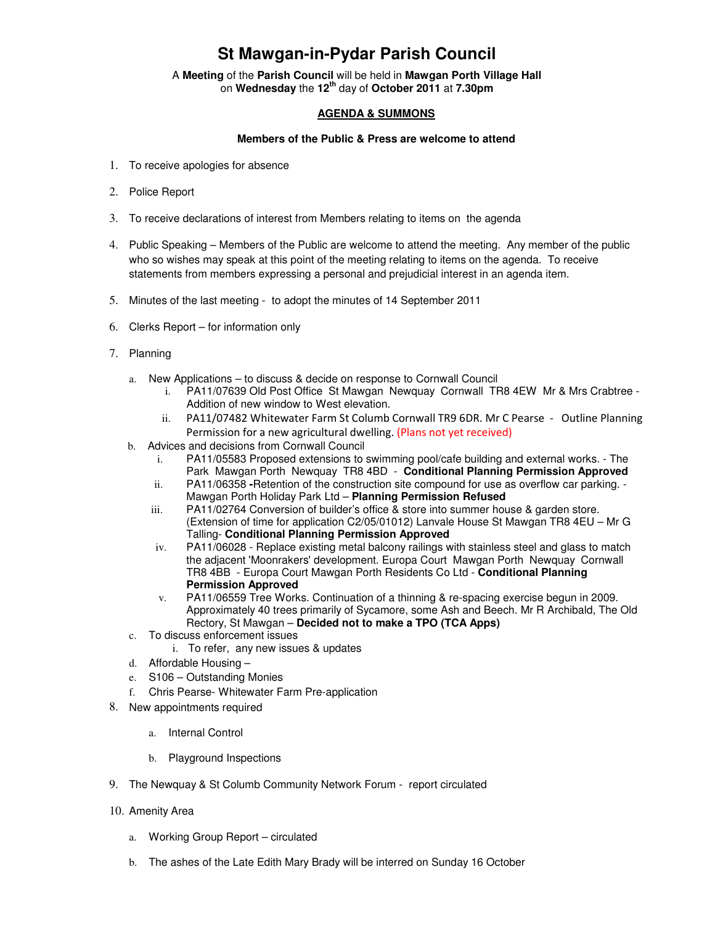## **St Mawgan-in-Pydar Parish Council**

A **Meeting** of the **Parish Council** will be held in **Mawgan Porth Village Hall** on **Wednesday** the **12th** day of **October 2011** at **7.30pm** 

## **AGENDA & SUMMONS**

## **Members of the Public & Press are welcome to attend**

- 1. To receive apologies for absence
- 2. Police Report
- 3. To receive declarations of interest from Members relating to items on the agenda
- 4. Public Speaking Members of the Public are welcome to attend the meeting. Any member of the public who so wishes may speak at this point of the meeting relating to items on the agenda. To receive statements from members expressing a personal and prejudicial interest in an agenda item.
- 5. Minutes of the last meeting to adopt the minutes of 14 September 2011
- 6. Clerks Report for information only
- 7. Planning
	- a. New Applications to discuss & decide on response to Cornwall Council
		- i. PA11/07639 Old Post Office St Mawgan Newquay Cornwall TR8 4EW Mr & Mrs Crabtree Addition of new window to West elevation.
		- ii. PA11/07482 Whitewater Farm St Columb Cornwall TR9 6DR. Mr C Pearse Outline Planning Permission for a new agricultural dwelling. (Plans not yet received)
	- b. Advices and decisions from Cornwall Council
		- i. PA11/05583 Proposed extensions to swimming pool/cafe building and external works. The Park Mawgan Porth Newquay TR8 4BD - **Conditional Planning Permission Approved**
		- ii. PA11/06358 **-**Retention of the construction site compound for use as overflow car parking. Mawgan Porth Holiday Park Ltd – **Planning Permission Refused**
		- iii. PA11/02764 Conversion of builder's office & store into summer house & garden store. (Extension of time for application C2/05/01012) Lanvale House St Mawgan TR8 4EU – Mr G Talling- **Conditional Planning Permission Approved**
		- iv. PA11/06028 Replace existing metal balcony railings with stainless steel and glass to match the adjacent 'Moonrakers' development. Europa Court Mawgan Porth Newquay Cornwall TR8 4BB - Europa Court Mawgan Porth Residents Co Ltd - **Conditional Planning Permission Approved**
		- v. PA11/06559 Tree Works. Continuation of a thinning & re-spacing exercise begun in 2009. Approximately 40 trees primarily of Sycamore, some Ash and Beech. Mr R Archibald, The Old Rectory, St Mawgan – **Decided not to make a TPO (TCA Apps)**
	- c. To discuss enforcement issues
		- i. To refer, any new issues & updates
	- d. Affordable Housing –
	- e. S106 Outstanding Monies
	- f. Chris Pearse- Whitewater Farm Pre-application
- 8. New appointments required
	- a. Internal Control
	- b. Playground Inspections
- 9. The Newquay & St Columb Community Network Forum report circulated
- 10. Amenity Area
	- a. Working Group Report circulated
	- b. The ashes of the Late Edith Mary Brady will be interred on Sunday 16 October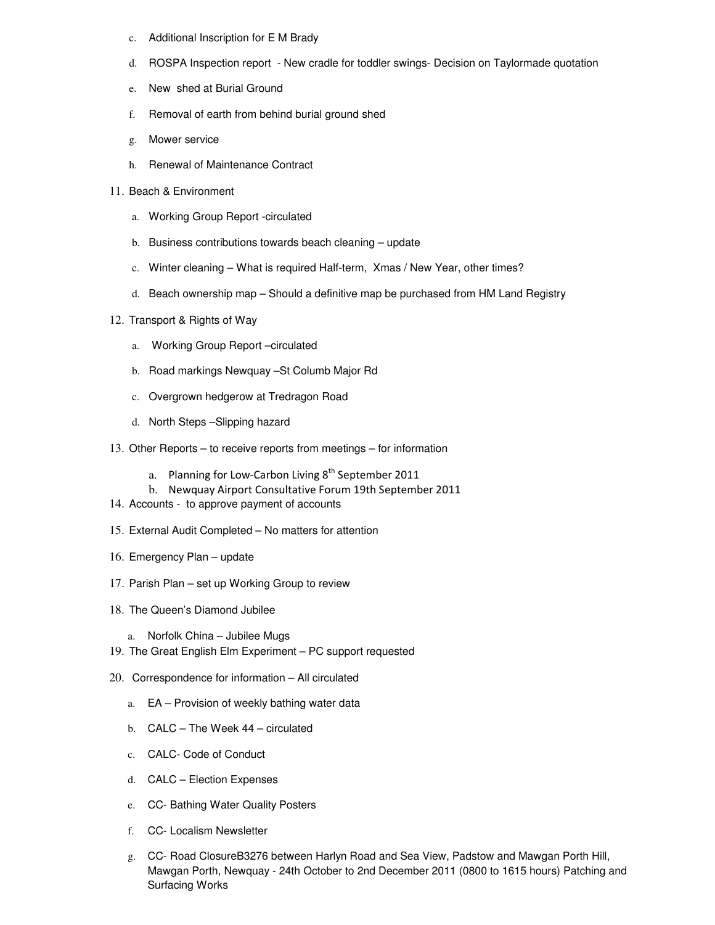- c. Additional Inscription for E M Brady
- d. ROSPA Inspection report New cradle for toddler swings- Decision on Taylormade quotation
- e. New shed at Burial Ground
- f. Removal of earth from behind burial ground shed
- g. Mower service
- h. Renewal of Maintenance Contract
- 11. Beach & Environment
	- a. Working Group Report -circulated
	- b. Business contributions towards beach cleaning update
	- c. Winter cleaning What is required Half-term, Xmas / New Year, other times?
	- d. Beach ownership map Should a definitive map be purchased from HM Land Registry
- 12. Transport & Rights of Way
	- a. Working Group Report –circulated
	- b. Road markings Newquay –St Columb Major Rd
	- c. Overgrown hedgerow at Tredragon Road
	- d. North Steps –Slipping hazard
- 13. Other Reports to receive reports from meetings for information
	- a. Planning for Low-Carbon Living  $8<sup>th</sup>$  September 2011
	- b. Newquay Airport Consultative Forum 19th September 2011
- 14. Accounts to approve payment of accounts
- 15. External Audit Completed No matters for attention
- 16. Emergency Plan update
- 17. Parish Plan set up Working Group to review
- 18. The Queen's Diamond Jubilee
	- a. Norfolk China Jubilee Mugs
- 19. The Great English Elm Experiment PC support requested
- 20. Correspondence for information All circulated
	- a. EA Provision of weekly bathing water data
	- b. CALC The Week 44 circulated
	- c. CALC- Code of Conduct
	- d. CALC Election Expenses
	- e. CC- Bathing Water Quality Posters
	- f. CC- Localism Newsletter
	- g. CC- Road ClosureB3276 between Harlyn Road and Sea View, Padstow and Mawgan Porth Hill, Mawgan Porth, Newquay - 24th October to 2nd December 2011 (0800 to 1615 hours) Patching and Surfacing Works